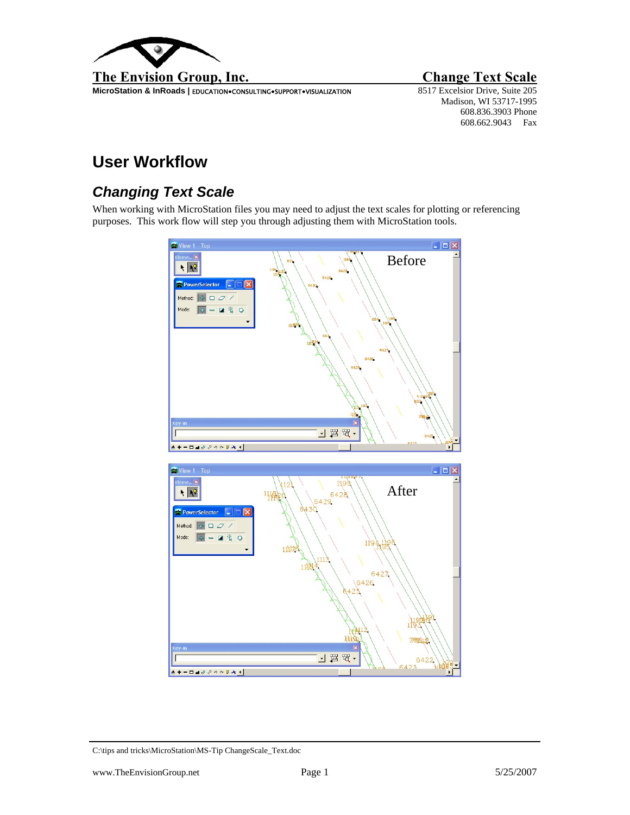

**MicroStation & InRoads | EDUCATION•CONSULTING•SUPPORT•VISUALIZATION** 

Madison, WI 53717-1995 608.836.3903 Phone 608.662.9043 Fax

## **User Workflow**

## *Changing Text Scale*

When working with MicroStation files you may need to adjust the text scales for plotting or referencing purposes. This work flow will step you through adjusting them with MicroStation tools.



C:\tips and tricks\MicroStation\MS-Tip ChangeScale\_Text.doc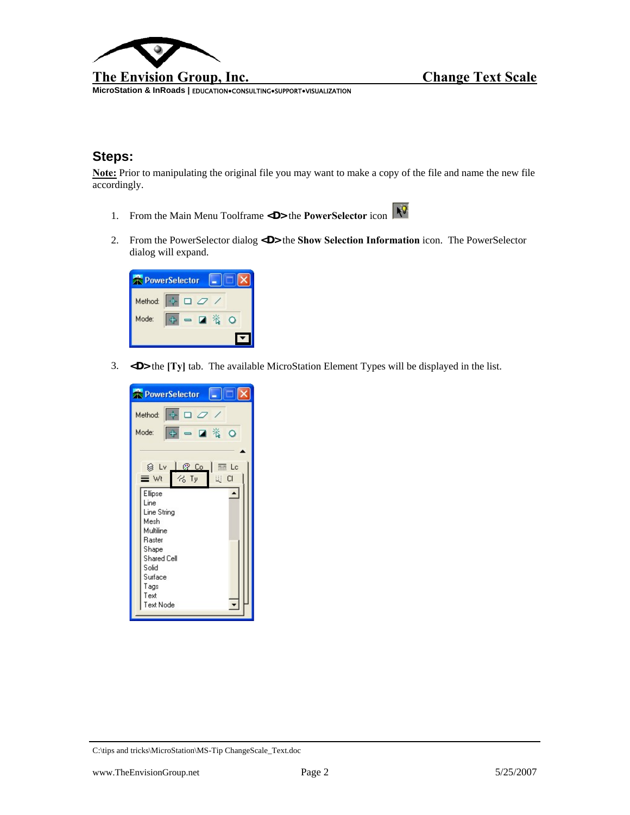

**MicroStation & InRoads |** EDUCATION**●**CONSULTING**●**SUPPORT**●**VISUALIZATION

## **Steps:**

**Note:** Prior to manipulating the original file you may want to make a copy of the file and name the new file accordingly.

- 1. From the Main Menu Toolframe <D> the **PowerSelector** icon
- 2. From the PowerSelector dialog **<D>** the **Show Selection Information** icon. The PowerSelector dialog will expand.



3. **<D>** the **[Ty]** tab. The available MicroStation Element Types will be displayed in the list.



C:\tips and tricks\MicroStation\MS-Tip ChangeScale\_Text.doc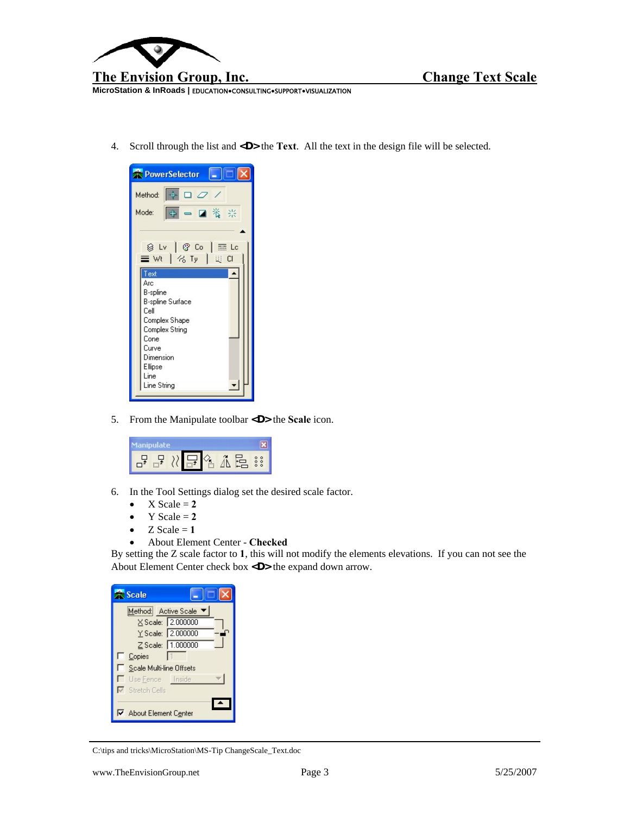

**MicroStation & InRoads |** EDUCATION**●**CONSULTING**●**SUPPORT**●**VISUALIZATION

4. Scroll through the list and **<D>** the **Text**. All the text in the design file will be selected.



5. From the Manipulate toolbar **<D>** the **Scale** icon.



- 6. In the Tool Settings dialog set the desired scale factor.
	- $X$  Scale  $= 2$
	- $Y$  Scale  $= 2$
	- $Z$  Scale = 1
	- About Element Center **Checked**

By setting the Z scale factor to **1**, this will not modify the elements elevations. If you can not see the About Element Center check box **<D>** the expand down arrow.

| <b>Scale</b>             |                   |
|--------------------------|-------------------|
| Method: Active Scale ▼   |                   |
|                          | X Scale: 2.000000 |
|                          | Y Scale: 2.000000 |
|                          | Z Scale: 1.000000 |
| Copies                   |                   |
| Scale Multi-line Offsets |                   |
| Use Fence Inside         |                   |
| Stretch Cells            |                   |
| About Element Center     |                   |

C:\tips and tricks\MicroStation\MS-Tip ChangeScale\_Text.doc